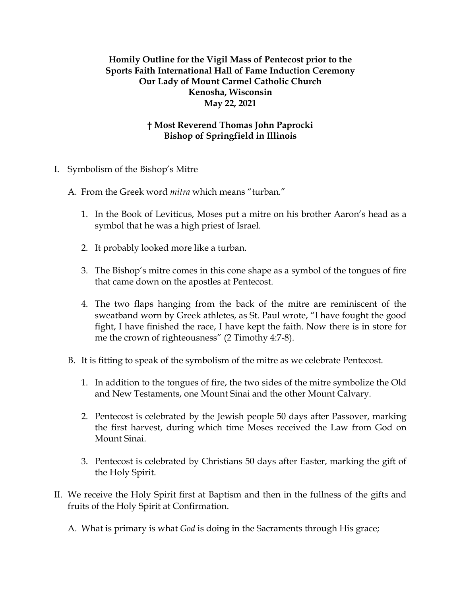## **Homily Outline for the Vigil Mass of Pentecost prior to the Sports Faith International Hall of Fame Induction Ceremony Our Lady of Mount Carmel Catholic Church Kenosha, Wisconsin May 22, 2021**

## **† Most Reverend Thomas John Paprocki Bishop of Springfield in Illinois**

- I. Symbolism of the Bishop's Mitre
	- A. From the Greek word *mitra* which means "turban."
		- 1. In the Book of Leviticus, Moses put a mitre on his brother Aaron's head as a symbol that he was a high priest of Israel.
		- 2. It probably looked more like a turban.
		- 3. The Bishop's mitre comes in this cone shape as a symbol of the tongues of fire that came down on the apostles at Pentecost.
		- 4. The two flaps hanging from the back of the mitre are reminiscent of the sweatband worn by Greek athletes, as St. Paul wrote, "I have fought the good fight, I have finished the race, I have kept the faith. Now there is in store for me the crown of righteousness" (2 Timothy 4:7-8).
	- B. It is fitting to speak of the symbolism of the mitre as we celebrate Pentecost.
		- 1. In addition to the tongues of fire, the two sides of the mitre symbolize the Old and New Testaments, one Mount Sinai and the other Mount Calvary.
		- 2. Pentecost is celebrated by the Jewish people 50 days after Passover, marking the first harvest, during which time Moses received the Law from God on Mount Sinai.
		- 3. Pentecost is celebrated by Christians 50 days after Easter, marking the gift of the Holy Spirit.
- II. We receive the Holy Spirit first at Baptism and then in the fullness of the gifts and fruits of the Holy Spirit at Confirmation.
	- A. What is primary is what *God* is doing in the Sacraments through His grace;